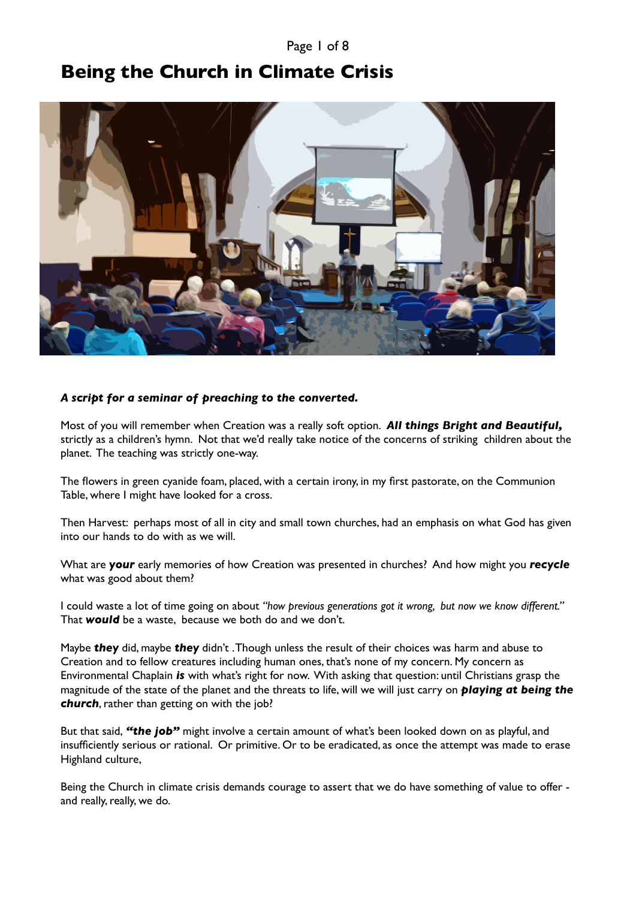Page 1 of 8

# **Being the Church in Climate Crisis**



## *A script for a seminar of preaching to the converted.*

Most of you will remember when Creation was a really soft option. *All things Bright and Beautiful,*  strictly as a children's hymn. Not that we'd really take notice of the concerns of striking children about the planet. The teaching was strictly one-way.

The flowers in green cyanide foam, placed, with a certain irony, in my first pastorate, on the Communion Table, where I might have looked for a cross.

Then Harvest: perhaps most of all in city and small town churches, had an emphasis on what God has given into our hands to do with as we will.

What are *your* early memories of how Creation was presented in churches? And how might you *recycle*  what was good about them?

I could waste a lot of time going on about *"how previous generations got it wrong, but now we know different."* That *would* be a waste, because we both do and we don't.

Maybe *they* did, maybe *they* didn't . Though unless the result of their choices was harm and abuse to Creation and to fellow creatures including human ones, that's none of my concern. My concern as Environmental Chaplain *is* with what's right for now. With asking that question: until Christians grasp the magnitude of the state of the planet and the threats to life, will we will just carry on *playing at being the church*, rather than getting on with the job?

But that said, *"the job"* might involve a certain amount of what's been looked down on as playful, and insufficiently serious or rational. Or primitive. Or to be eradicated, as once the attempt was made to erase Highland culture,

Being the Church in climate crisis demands courage to assert that we do have something of value to offer and really, really, we do.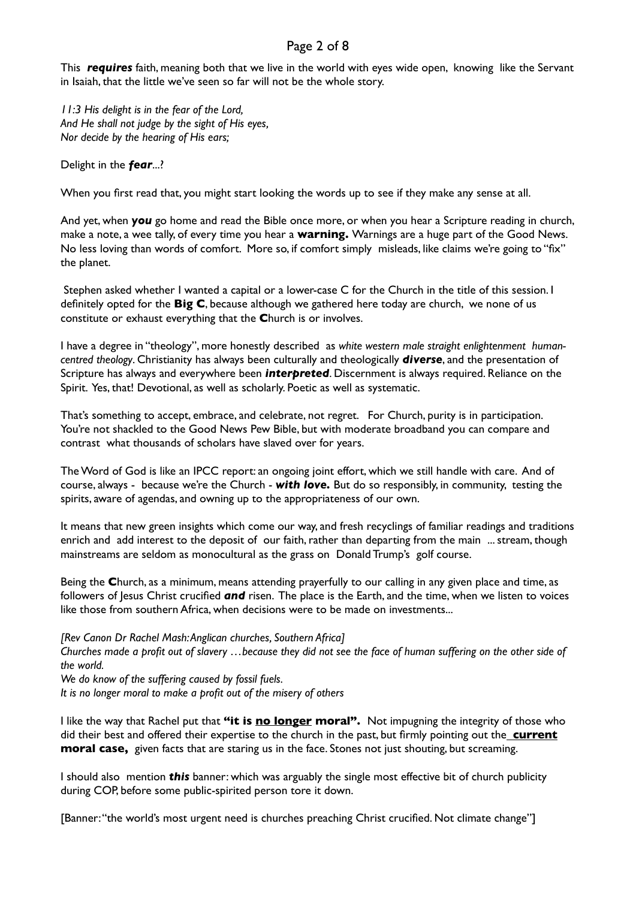## Page 2 of 8

This *requires* faith, meaning both that we live in the world with eyes wide open, knowing like the Servant in Isaiah, that the little we've seen so far will not be the whole story.

*11:3 His delight is in the fear of the Lord, And He shall not judge by the sight of His eyes, Nor decide by the hearing of His ears;*

Delight in the *fear*...?

When you first read that, you might start looking the words up to see if they make any sense at all.

And yet, when *you* go home and read the Bible once more, or when you hear a Scripture reading in church, make a note, a wee tally, of every time you hear a **warning.** Warnings are a huge part of the Good News. No less loving than words of comfort. More so, if comfort simply misleads, like claims we're going to "fix" the planet.

 Stephen asked whether I wanted a capital or a lower-case C for the Church in the title of this session. I definitely opted for the **Big C**, because although we gathered here today are church, we none of us constitute or exhaust everything that the **C**hurch is or involves.

I have a degree in "theology", more honestly described as *white western male straight enlightenment humancentred theology*. Christianity has always been culturally and theologically *diverse*, and the presentation of Scripture has always and everywhere been *interpreted*. Discernment is always required. Reliance on the Spirit. Yes, that! Devotional, as well as scholarly. Poetic as well as systematic.

That's something to accept, embrace, and celebrate, not regret. For Church, purity is in participation. You're not shackled to the Good News Pew Bible, but with moderate broadband you can compare and contrast what thousands of scholars have slaved over for years.

The Word of God is like an IPCC report: an ongoing joint effort, which we still handle with care. And of course, always - because we're the Church - *with love.* But do so responsibly, in community, testing the spirits, aware of agendas, and owning up to the appropriateness of our own.

It means that new green insights which come our way, and fresh recyclings of familiar readings and traditions enrich and add interest to the deposit of our faith, rather than departing from the main ... stream, though mainstreams are seldom as monocultural as the grass on Donald Trump's golf course.

Being the **C**hurch, as a minimum, means attending prayerfully to our calling in any given place and time, as followers of Jesus Christ crucified *and* risen. The place is the Earth, and the time, when we listen to voices like those from southern Africa, when decisions were to be made on investments...

*[Rev Canon Dr Rachel Mash: Anglican churches, Southern Africa]*

*Churches made a profit out of slavery …because they did not see the face of human suffering on the other side of the world.*

*We do know of the suffering caused by fossil fuels.* 

*It is no longer moral to make a profit out of the misery of others*

I like the way that Rachel put that **"it is no longer moral".** Not impugning the integrity of those who did their best and offered their expertise to the church in the past, but firmly pointing out the **current moral case,** given facts that are staring us in the face. Stones not just shouting, but screaming.

I should also mention *this* banner: which was arguably the single most effective bit of church publicity during COP, before some public-spirited person tore it down.

[Banner: "the world's most urgent need is churches preaching Christ crucified. Not climate change"]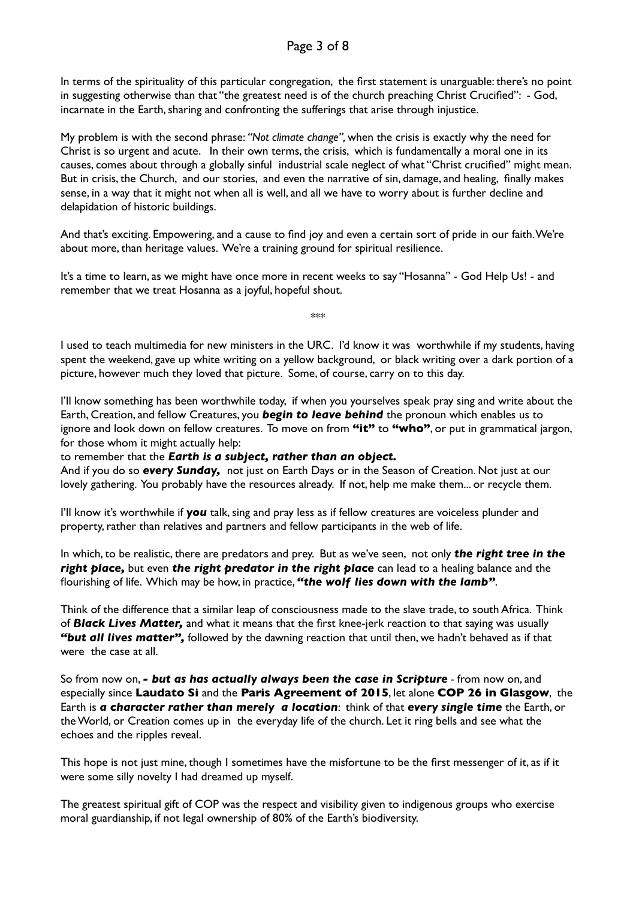# Page 3 of 8

In terms of the spirituality of this particular congregation, the first statement is unarguable: there's no point in suggesting otherwise than that "the greatest need is of the church preaching Christ Crucified": - God, incarnate in the Earth, sharing and confronting the sufferings that arise through injustice.

My problem is with the second phrase: *"Not climate change",* when the crisis is exactly why the need for Christ is so urgent and acute. In their own terms, the crisis, which is fundamentally a moral one in its causes, comes about through a globally sinful industrial scale neglect of what "Christ crucified" might mean. But in crisis, the Church, and our stories, and even the narrative of sin, damage, and healing, finally makes sense, in a way that it might not when all is well, and all we have to worry about is further decline and delapidation of historic buildings.

And that's exciting. Empowering, and a cause to find joy and even a certain sort of pride in our faith. We're about more, than heritage values. We're a training ground for spiritual resilience.

It's a time to learn, as we might have once more in recent weeks to say "Hosanna" - God Help Us! - and remember that we treat Hosanna as a joyful, hopeful shout.

\*\*\*

I used to teach multimedia for new ministers in the URC. I'd know it was worthwhile if my students, having spent the weekend, gave up white writing on a yellow background, or black writing over a dark portion of a picture, however much they loved that picture. Some, of course, carry on to this day.

I'll know something has been worthwhile today, if when you yourselves speak pray sing and write about the Earth, Creation, and fellow Creatures, you *begin to leave behind* the pronoun which enables us to ignore and look down on fellow creatures. To move on from **"it"** to **"who"**, or put in grammatical jargon, for those whom it might actually help:

to remember that the *Earth is a subject, rather than an object.* 

And if you do so *every Sunday,* not just on Earth Days or in the Season of Creation. Not just at our lovely gathering. You probably have the resources already. If not, help me make them... or recycle them.

I'll know it's worthwhile if *you* talk, sing and pray less as if fellow creatures are voiceless plunder and property, rather than relatives and partners and fellow participants in the web of life.

In which, to be realistic, there are predators and prey. But as we've seen, not only *the right tree in the right place,* but even *the right predator in the right place* can lead to a healing balance and the flourishing of life. Which may be how, in practice, *"the wolf lies down with the lamb"*.

Think of the difference that a similar leap of consciousness made to the slave trade, to south Africa. Think of *Black Lives Matter,* and what it means that the first knee-jerk reaction to that saying was usually *"but all lives matter",* followed by the dawning reaction that until then, we hadn't behaved as if that were the case at all.

So from now on, - but as has actually always been the case in Scripture - from now on, and especially since **Laudato Si** and the **Paris Agreement of 2015**, let alone **COP 26 in Glasgow**, the Earth is *a character rather than merely a location*: think of that *every single time* the Earth, or the World, or Creation comes up in the everyday life of the church. Let it ring bells and see what the echoes and the ripples reveal.

This hope is not just mine, though I sometimes have the misfortune to be the first messenger of it, as if it were some silly novelty I had dreamed up myself.

The greatest spiritual gift of COP was the respect and visibility given to indigenous groups who exercise moral guardianship, if not legal ownership of 80% of the Earth's biodiversity.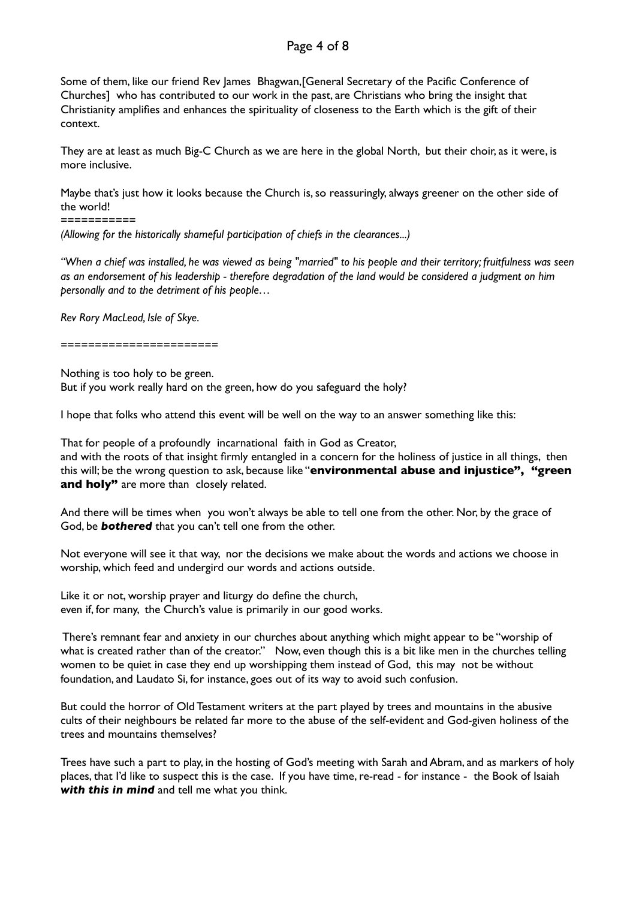## Page 4 of 8

Some of them, like our friend Rev James Bhagwan,[General Secretary of the Pacific Conference of Churches] who has contributed to our work in the past, are Christians who bring the insight that Christianity amplifies and enhances the spirituality of closeness to the Earth which is the gift of their context.

They are at least as much Big-C Church as we are here in the global North, but their choir, as it were, is more inclusive.

Maybe that's just how it looks because the Church is, so reassuringly, always greener on the other side of the world!

===========

*(Allowing for the historically shameful participation of chiefs in the clearances...)*

*"When a chief was installed, he was viewed as being "married" to his people and their territory; fruitfulness was seen as an endorsement of his leadership - therefore degradation of the land would be considered a judgment on him personally and to the detriment of his people…*

*Rev Rory MacLeod, Isle of Skye.*

=======================

Nothing is too holy to be green. But if you work really hard on the green, how do you safeguard the holy?

I hope that folks who attend this event will be well on the way to an answer something like this:

That for people of a profoundly incarnational faith in God as Creator, and with the roots of that insight firmly entangled in a concern for the holiness of justice in all things, then this will; be the wrong question to ask, because like "**environmental abuse and injustice", "green**  and holy" are more than closely related.

And there will be times when you won't always be able to tell one from the other. Nor, by the grace of God, be *bothered* that you can't tell one from the other.

Not everyone will see it that way, nor the decisions we make about the words and actions we choose in worship, which feed and undergird our words and actions outside.

Like it or not, worship prayer and liturgy do define the church, even if, for many, the Church's value is primarily in our good works.

 There's remnant fear and anxiety in our churches about anything which might appear to be "worship of what is created rather than of the creator." Now, even though this is a bit like men in the churches telling women to be quiet in case they end up worshipping them instead of God, this may not be without foundation, and Laudato Si, for instance, goes out of its way to avoid such confusion.

But could the horror of Old Testament writers at the part played by trees and mountains in the abusive cults of their neighbours be related far more to the abuse of the self-evident and God-given holiness of the trees and mountains themselves?

Trees have such a part to play, in the hosting of God's meeting with Sarah and Abram, and as markers of holy places, that I'd like to suspect this is the case. If you have time, re-read - for instance - the Book of Isaiah *with this in mind* and tell me what you think.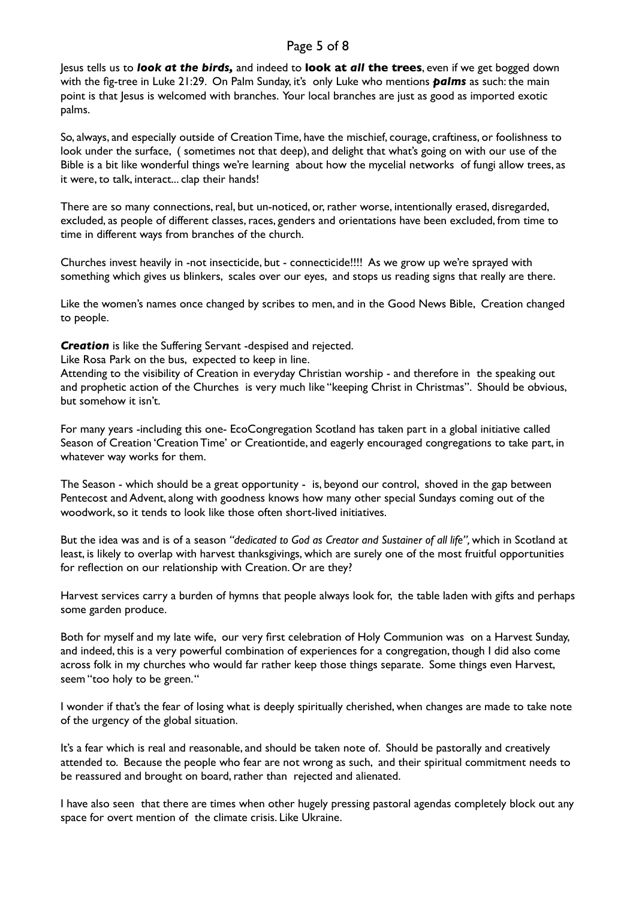### Page 5 of 8

Jesus tells us to *look at the birds,* and indeed to **look at** *all* **the trees**, even if we get bogged down with the fig-tree in Luke 21:29. On Palm Sunday, it's only Luke who mentions *palms* as such: the main point is that Jesus is welcomed with branches. Your local branches are just as good as imported exotic palms.

So, always, and especially outside of Creation Time, have the mischief, courage, craftiness, or foolishness to look under the surface, (sometimes not that deep), and delight that what's going on with our use of the Bible is a bit like wonderful things we're learning about how the mycelial networks of fungi allow trees, as it were, to talk, interact... clap their hands!

There are so many connections, real, but un-noticed, or, rather worse, intentionally erased, disregarded, excluded, as people of different classes, races, genders and orientations have been excluded, from time to time in different ways from branches of the church.

Churches invest heavily in -not insecticide, but - connecticide!!!! As we grow up we're sprayed with something which gives us blinkers, scales over our eyes, and stops us reading signs that really are there.

Like the women's names once changed by scribes to men, and in the Good News Bible, Creation changed to people.

*Creation* is like the Suffering Servant -despised and rejected.

Like Rosa Park on the bus, expected to keep in line.

Attending to the visibility of Creation in everyday Christian worship - and therefore in the speaking out and prophetic action of the Churches is very much like "keeping Christ in Christmas". Should be obvious, but somehow it isn't.

For many years -including this one- EcoCongregation Scotland has taken part in a global initiative called Season of Creation 'Creation Time' or Creationtide, and eagerly encouraged congregations to take part, in whatever way works for them.

The Season - which should be a great opportunity - is, beyond our control, shoved in the gap between Pentecost and Advent, along with goodness knows how many other special Sundays coming out of the woodwork, so it tends to look like those often short-lived initiatives.

But the idea was and is of a season *"dedicated to God as Creator and Sustainer of all life",* which in Scotland at least, is likely to overlap with harvest thanksgivings, which are surely one of the most fruitful opportunities for reflection on our relationship with Creation. Or are they?

Harvest services carry a burden of hymns that people always look for, the table laden with gifts and perhaps some garden produce.

Both for myself and my late wife, our very first celebration of Holy Communion was on a Harvest Sunday, and indeed, this is a very powerful combination of experiences for a congregation, though I did also come across folk in my churches who would far rather keep those things separate. Some things even Harvest, seem "too holy to be green. "

I wonder if that's the fear of losing what is deeply spiritually cherished, when changes are made to take note of the urgency of the global situation.

It's a fear which is real and reasonable, and should be taken note of. Should be pastorally and creatively attended to. Because the people who fear are not wrong as such, and their spiritual commitment needs to be reassured and brought on board, rather than rejected and alienated.

I have also seen that there are times when other hugely pressing pastoral agendas completely block out any space for overt mention of the climate crisis. Like Ukraine.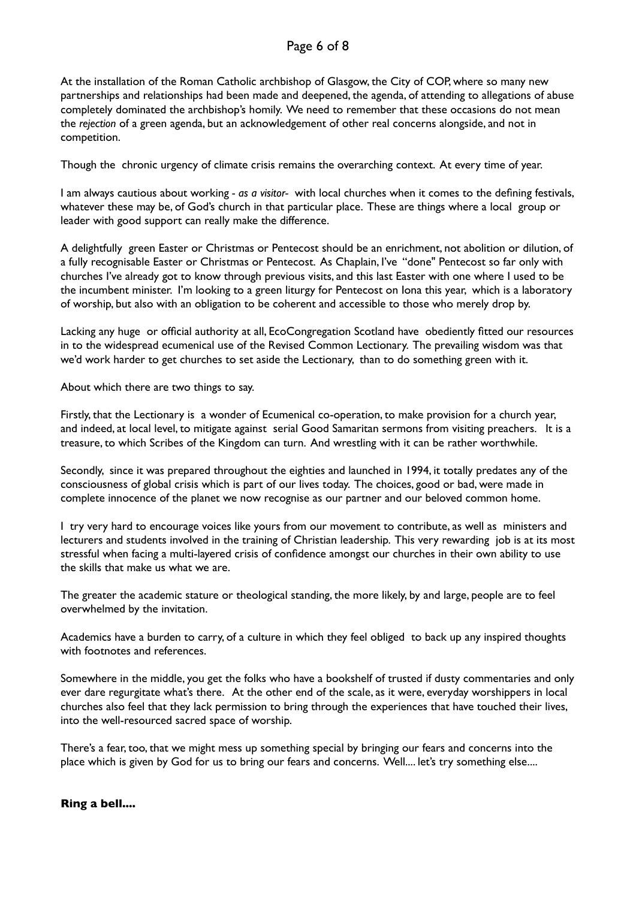At the installation of the Roman Catholic archbishop of Glasgow, the City of COP, where so many new partnerships and relationships had been made and deepened, the agenda, of attending to allegations of abuse completely dominated the archbishop's homily. We need to remember that these occasions do not mean the *rejection* of a green agenda, but an acknowledgement of other real concerns alongside, and not in competition.

Though the chronic urgency of climate crisis remains the overarching context. At every time of year.

I am always cautious about working *- as a visitor-* with local churches when it comes to the defining festivals, whatever these may be, of God's church in that particular place. These are things where a local group or leader with good support can really make the difference.

A delightfully green Easter or Christmas or Pentecost should be an enrichment, not abolition or dilution, of a fully recognisable Easter or Christmas or Pentecost. As Chaplain, I've "done" Pentecost so far only with churches I've already got to know through previous visits, and this last Easter with one where I used to be the incumbent minister. I'm looking to a green liturgy for Pentecost on Iona this year, which is a laboratory of worship, but also with an obligation to be coherent and accessible to those who merely drop by.

Lacking any huge or official authority at all, EcoCongregation Scotland have obediently fitted our resources in to the widespread ecumenical use of the Revised Common Lectionary. The prevailing wisdom was that we'd work harder to get churches to set aside the Lectionary, than to do something green with it.

About which there are two things to say.

Firstly, that the Lectionary is a wonder of Ecumenical co-operation, to make provision for a church year, and indeed, at local level, to mitigate against serial Good Samaritan sermons from visiting preachers. It is a treasure, to which Scribes of the Kingdom can turn. And wrestling with it can be rather worthwhile.

Secondly, since it was prepared throughout the eighties and launched in 1994, it totally predates any of the consciousness of global crisis which is part of our lives today. The choices, good or bad, were made in complete innocence of the planet we now recognise as our partner and our beloved common home.

I try very hard to encourage voices like yours from our movement to contribute, as well as ministers and lecturers and students involved in the training of Christian leadership. This very rewarding job is at its most stressful when facing a multi-layered crisis of confidence amongst our churches in their own ability to use the skills that make us what we are.

The greater the academic stature or theological standing, the more likely, by and large, people are to feel overwhelmed by the invitation.

Academics have a burden to carry, of a culture in which they feel obliged to back up any inspired thoughts with footnotes and references.

Somewhere in the middle, you get the folks who have a bookshelf of trusted if dusty commentaries and only ever dare regurgitate what's there. At the other end of the scale, as it were, everyday worshippers in local churches also feel that they lack permission to bring through the experiences that have touched their lives, into the well-resourced sacred space of worship.

There's a fear, too, that we might mess up something special by bringing our fears and concerns into the place which is given by God for us to bring our fears and concerns. Well.... let's try something else....

**Ring a bell....**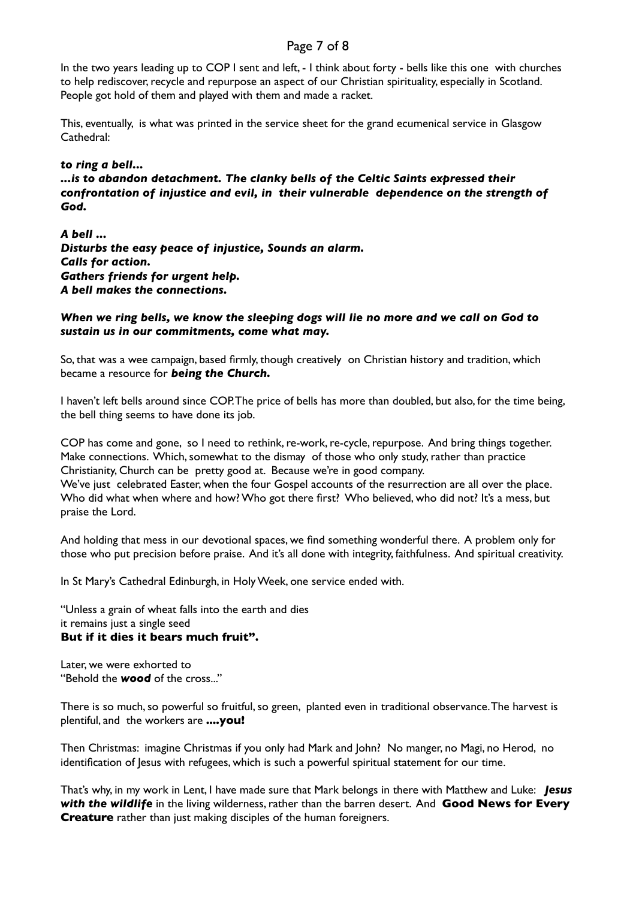## Page 7 of 8

In the two years leading up to COP I sent and left, - I think about forty - bells like this one with churches to help rediscover, recycle and repurpose an aspect of our Christian spirituality, especially in Scotland. People got hold of them and played with them and made a racket.

This, eventually, is what was printed in the service sheet for the grand ecumenical service in Glasgow Cathedral:

#### *to ring a bell... ...is to abandon detachment. The clanky bells of the Celtic Saints expressed their confrontation of injustice and evil, in their vulnerable dependence on the strength of God.*

*A bell ... Disturbs the easy peace of injustice, Sounds an alarm. Calls for action. Gathers friends for urgent help. A bell makes the connections.* 

#### *When we ring bells, we know the sleeping dogs will lie no more and we call on God to sustain us in our commitments, come what may.*

So, that was a wee campaign, based firmly, though creatively on Christian history and tradition, which became a resource for *being the Church.*

I haven't left bells around since COP. The price of bells has more than doubled, but also, for the time being, the bell thing seems to have done its job.

COP has come and gone, so I need to rethink, re-work, re-cycle, repurpose. And bring things together. Make connections. Which, somewhat to the dismay of those who only study, rather than practice Christianity, Church can be pretty good at. Because we're in good company. We've just celebrated Easter, when the four Gospel accounts of the resurrection are all over the place. Who did what when where and how? Who got there first? Who believed, who did not? It's a mess, but praise the Lord.

And holding that mess in our devotional spaces, we find something wonderful there. A problem only for those who put precision before praise. And it's all done with integrity, faithfulness. And spiritual creativity.

In St Mary's Cathedral Edinburgh, in Holy Week, one service ended with.

"Unless a grain of wheat falls into the earth and dies it remains just a single seed **But if it dies it bears much fruit".**

Later, we were exhorted to "Behold the *wood* of the cross..."

There is so much, so powerful so fruitful, so green, planted even in traditional observance. The harvest is plentiful, and the workers are **....you!**

Then Christmas: imagine Christmas if you only had Mark and John? No manger, no Magi, no Herod, no identification of Jesus with refugees, which is such a powerful spiritual statement for our time.

That's why, in my work in Lent, I have made sure that Mark belongs in there with Matthew and Luke: *Jesus with the wildlife* in the living wilderness, rather than the barren desert. And **Good News for Every Creature** rather than just making disciples of the human foreigners.